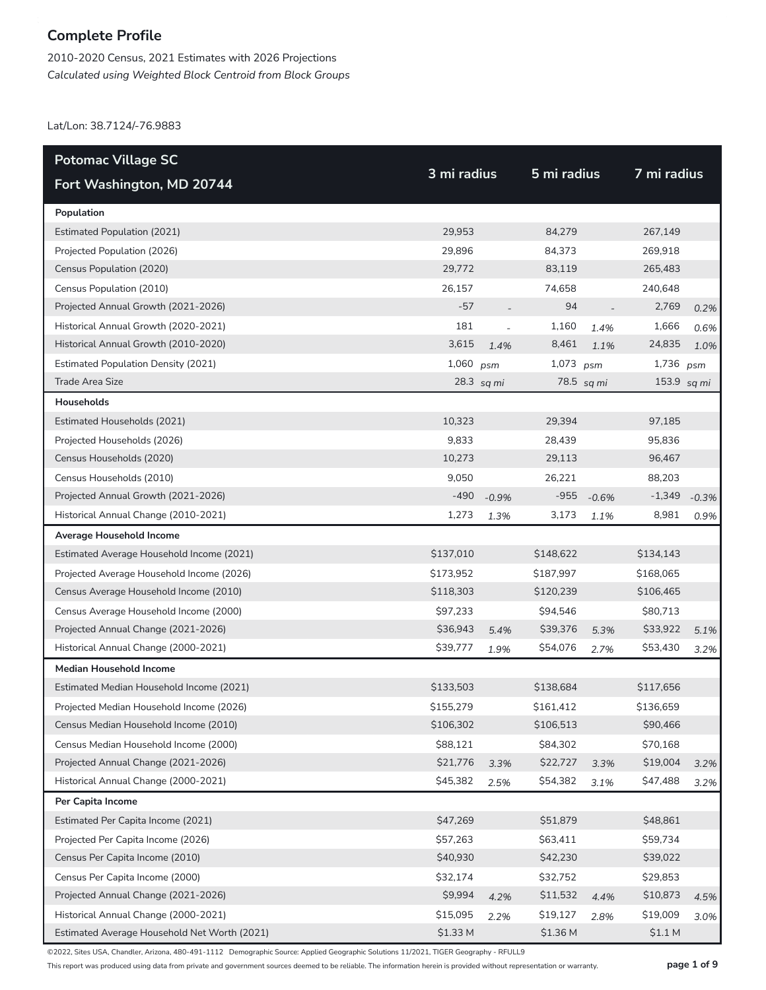2010-2020 Census, 2021 Estimates with 2026 Projections *Calculated using Weighted Block Centroid from Block Groups*

Lat/Lon: 38.7124/-76.9883

| <b>Potomac Village SC</b>                    |             |            | 5 mi radius |            |             |         |
|----------------------------------------------|-------------|------------|-------------|------------|-------------|---------|
| Fort Washington, MD 20744                    | 3 mi radius |            |             |            | 7 mi radius |         |
| Population                                   |             |            |             |            |             |         |
| <b>Estimated Population (2021)</b>           | 29,953      |            | 84,279      |            | 267,149     |         |
| Projected Population (2026)                  | 29,896      |            | 84,373      |            | 269,918     |         |
| Census Population (2020)                     | 29,772      |            | 83,119      |            | 265,483     |         |
| Census Population (2010)                     | 26,157      |            | 74,658      |            | 240,648     |         |
| Projected Annual Growth (2021-2026)          | $-57$       |            | 94          |            | 2,769       | 0.2%    |
| Historical Annual Growth (2020-2021)         | 181         |            | 1,160       | 1.4%       | 1,666       | 0.6%    |
| Historical Annual Growth (2010-2020)         | 3,615       | 1.4%       | 8,461       | 1.1%       | 24,835      | 1.0%    |
| <b>Estimated Population Density (2021)</b>   | 1,060       | psm        | 1,073       | psm        | 1,736       | psm     |
| Trade Area Size                              |             | 28.3 sq mi |             | 78.5 sq mi | 153.9       | sq mi   |
| Households                                   |             |            |             |            |             |         |
| Estimated Households (2021)                  | 10,323      |            | 29,394      |            | 97,185      |         |
| Projected Households (2026)                  | 9,833       |            | 28,439      |            | 95,836      |         |
| Census Households (2020)                     | 10,273      |            | 29,113      |            | 96,467      |         |
| Census Households (2010)                     | 9,050       |            | 26,221      |            | 88,203      |         |
| Projected Annual Growth (2021-2026)          | $-490$      | $-0.9%$    | $-955$      | $-0.6%$    | $-1,349$    | $-0.3%$ |
| Historical Annual Change (2010-2021)         | 1,273       | 1.3%       | 3,173       | 1.1%       | 8,981       | 0.9%    |
| Average Household Income                     |             |            |             |            |             |         |
| Estimated Average Household Income (2021)    | \$137,010   |            | \$148,622   |            | \$134,143   |         |
| Projected Average Household Income (2026)    | \$173,952   |            | \$187,997   |            | \$168,065   |         |
| Census Average Household Income (2010)       | \$118,303   |            | \$120,239   |            | \$106,465   |         |
| Census Average Household Income (2000)       | \$97,233    |            | \$94,546    |            | \$80,713    |         |
| Projected Annual Change (2021-2026)          | \$36,943    | 5.4%       | \$39,376    | 5.3%       | \$33,922    | 5.1%    |
| Historical Annual Change (2000-2021)         | \$39,777    | 1.9%       | \$54,076    | 2.7%       | \$53,430    | 3.2%    |
| <b>Median Household Income</b>               |             |            |             |            |             |         |
| Estimated Median Household Income (2021)     | \$133,503   |            | \$138,684   |            | \$117,656   |         |
| Projected Median Household Income (2026)     | \$155,279   |            | \$161,412   |            | \$136,659   |         |
| Census Median Household Income (2010)        | \$106,302   |            | \$106,513   |            | \$90,466    |         |
| Census Median Household Income (2000)        | \$88,121    |            | \$84,302    |            | \$70,168    |         |
| Projected Annual Change (2021-2026)          | \$21,776    | 3.3%       | \$22,727    | 3.3%       | \$19,004    | 3.2%    |
| Historical Annual Change (2000-2021)         | \$45,382    | 2.5%       | \$54,382    | 3.1%       | \$47,488    | 3.2%    |
| Per Capita Income                            |             |            |             |            |             |         |
| Estimated Per Capita Income (2021)           | \$47,269    |            | \$51,879    |            | \$48,861    |         |
| Projected Per Capita Income (2026)           | \$57,263    |            | \$63,411    |            | \$59,734    |         |
| Census Per Capita Income (2010)              | \$40,930    |            | \$42,230    |            | \$39,022    |         |
| Census Per Capita Income (2000)              | \$32,174    |            | \$32,752    |            | \$29,853    |         |
| Projected Annual Change (2021-2026)          | \$9,994     | 4.2%       | \$11,532    | 4.4%       | \$10,873    | 4.5%    |
| Historical Annual Change (2000-2021)         | \$15,095    | 2.2%       | \$19,127    | 2.8%       | \$19,009    | 3.0%    |
| Estimated Average Household Net Worth (2021) | \$1.33 M    |            | \$1.36 M    |            | \$1.1 M     |         |

©2022, Sites USA, Chandler, Arizona, 480-491-1112 Demographic Source: Applied Geographic Solutions 11/2021, TIGER Geography - RFULL9

This report was produced using data from private and government sources deemed to be reliable. The information herein is provided without representation or warranty. **page 1 of 9**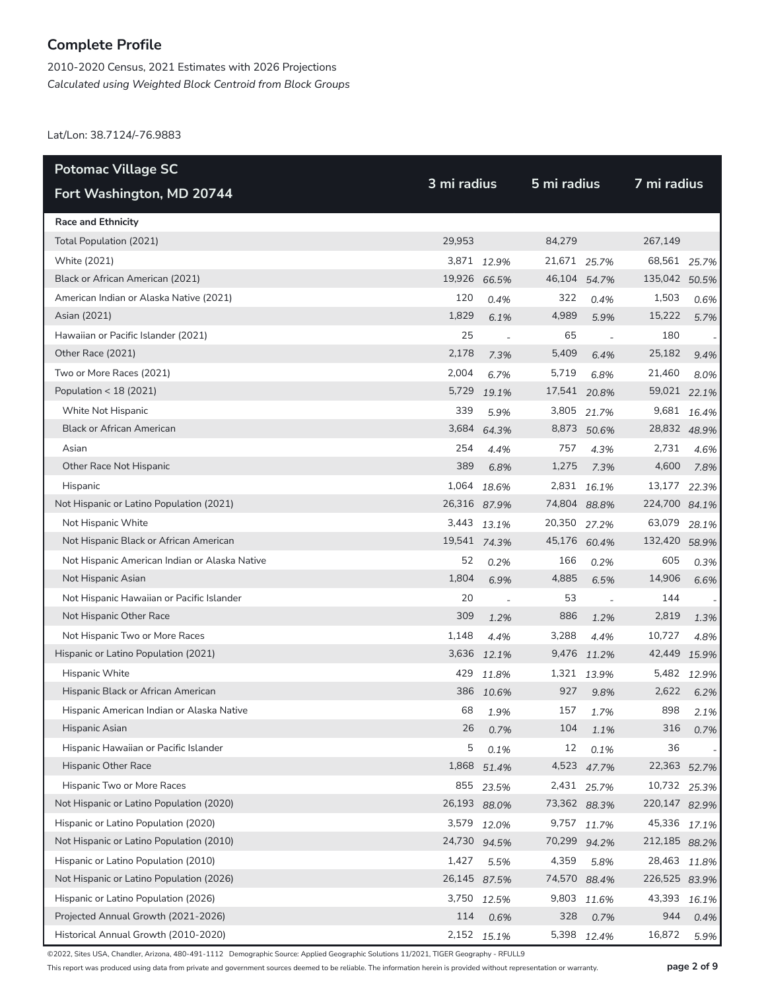2010-2020 Census, 2021 Estimates with 2026 Projections *Calculated using Weighted Block Centroid from Block Groups*

Lat/Lon: 38.7124/-76.9883

| <b>Potomac Village SC</b>                     | 3 mi radius  |              |              | 5 mi radius |               |       |
|-----------------------------------------------|--------------|--------------|--------------|-------------|---------------|-------|
| Fort Washington, MD 20744                     |              |              |              |             | 7 mi radius   |       |
| <b>Race and Ethnicity</b>                     |              |              |              |             |               |       |
| Total Population (2021)                       | 29,953       |              | 84,279       |             | 267,149       |       |
| White (2021)                                  |              | 3,871 12.9%  | 21,671 25.7% |             | 68,561        | 25.7% |
| Black or African American (2021)              | 19,926 66.5% |              | 46,104 54.7% |             | 135,042 50.5% |       |
| American Indian or Alaska Native (2021)       | 120          | 0.4%         | 322          | 0.4%        | 1,503         | 0.6%  |
| Asian (2021)                                  | 1,829        | 6.1%         | 4,989        | 5.9%        | 15,222        | 5.7%  |
| Hawaiian or Pacific Islander (2021)           | 25           | $\sim$       | 65           |             | 180           |       |
| Other Race (2021)                             | 2,178        | 7.3%         | 5,409        | 6.4%        | 25,182        | 9.4%  |
| Two or More Races (2021)                      | 2,004        | 6.7%         | 5,719        | 6.8%        | 21,460        | 8.0%  |
| Population < 18 (2021)                        | 5,729        | 19.1%        | 17,541 20.8% |             | 59,021        | 22.1% |
| White Not Hispanic                            | 339          | 5.9%         | 3,805        | 21.7%       | 9,681         | 16.4% |
| <b>Black or African American</b>              | 3,684        | 64.3%        |              | 8,873 50.6% | 28,832 48.9%  |       |
| Asian                                         | 254          | 4.4%         | 757          | 4.3%        | 2,731         | 4.6%  |
| Other Race Not Hispanic                       | 389          | 6.8%         | 1,275        | 7.3%        | 4,600         | 7.8%  |
| Hispanic                                      | 1,064        | 18.6%        |              | 2,831 16.1% | 13,177        | 22.3% |
| Not Hispanic or Latino Population (2021)      | 26,316 87.9% |              | 74,804 88.8% |             | 224,700 84.1% |       |
| Not Hispanic White                            |              | 3,443 13.1%  | 20,350       | 27.2%       | 63,079        | 28.1% |
| Not Hispanic Black or African American        | 19,541 74.3% |              | 45,176 60.4% |             | 132,420       | 58.9% |
| Not Hispanic American Indian or Alaska Native | 52           | 0.2%         | 166          | 0.2%        | 605           | 0.3%  |
| Not Hispanic Asian                            | 1,804        | 6.9%         | 4,885        | 6.5%        | 14,906        | 6.6%  |
| Not Hispanic Hawaiian or Pacific Islander     | 20           |              | 53           |             | 144           |       |
| Not Hispanic Other Race                       | 309          | 1.2%         | 886          | 1.2%        | 2,819         | 1.3%  |
| Not Hispanic Two or More Races                | 1,148        | 4.4%         | 3,288        | 4.4%        | 10,727        | 4.8%  |
| Hispanic or Latino Population (2021)          |              | 3,636 12.1%  | 9,476        | 11.2%       | 42,449        | 15.9% |
| Hispanic White                                | 429          | 11.8%        | 1,321        | 13.9%       | 5,482         | 12.9% |
| Hispanic Black or African American            |              | 386 10.6%    | 927          | 9.8%        | 2,622         | 6.2%  |
| Hispanic American Indian or Alaska Native     | 68           | 1.9%         | 157          | 1.7%        | 898           | 2.1%  |
| Hispanic Asian                                | $26\,$       | 0.7%         | 104          | 1.1%        | 316           | 0.7%  |
| Hispanic Hawaiian or Pacific Islander         | 5            | 0.1%         | 12           | 0.1%        | 36            |       |
| Hispanic Other Race                           | 1,868        | 51.4%        |              | 4,523 47.7% | 22,363        | 52.7% |
| Hispanic Two or More Races                    | 855          | 23.5%        |              | 2,431 25.7% | 10,732        | 25.3% |
| Not Hispanic or Latino Population (2020)      | 26,193 88.0% |              | 73,362 88.3% |             | 220,147 82.9% |       |
| Hispanic or Latino Population (2020)          | 3,579        | 12.0%        |              | 9,757 11.7% | 45,336        | 17.1% |
| Not Hispanic or Latino Population (2010)      |              | 24,730 94.5% | 70,299 94.2% |             | 212,185 88.2% |       |
| Hispanic or Latino Population (2010)          | 1,427        | 5.5%         | 4,359        | 5.8%        | 28,463        | 11.8% |
| Not Hispanic or Latino Population (2026)      |              | 26,145 87.5% | 74,570 88.4% |             | 226,525 83.9% |       |
| Hispanic or Latino Population (2026)          | 3,750        | 12.5%        | 9,803        | 11.6%       | 43,393        | 16.1% |
| Projected Annual Growth (2021-2026)           | 114          | 0.6%         | 328          | 0.7%        | 944           | 0.4%  |
| Historical Annual Growth (2010-2020)          |              | 2,152 15.1%  | 5,398        | 12.4%       | 16,872        | 5.9%  |

©2022, Sites USA, Chandler, Arizona, 480-491-1112 Demographic Source: Applied Geographic Solutions 11/2021, TIGER Geography - RFULL9

This report was produced using data from private and government sources deemed to be reliable. The information herein is provided without representation or warranty. **page 2 of 9**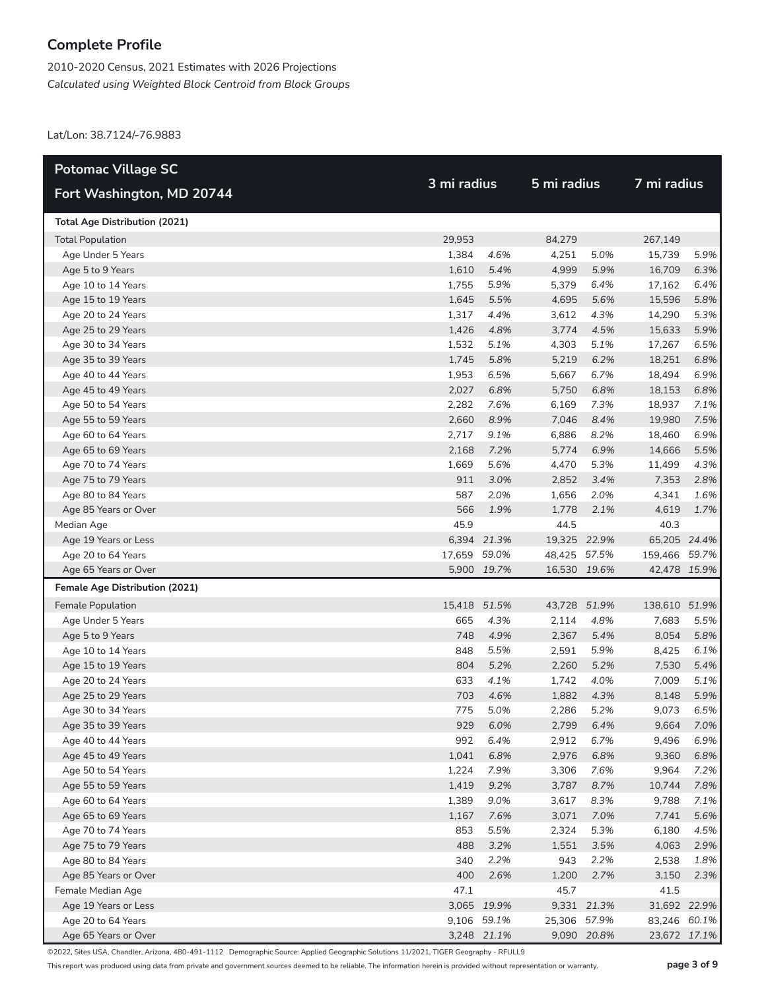2010-2020 Census, 2021 Estimates with 2026 Projections *Calculated using Weighted Block Centroid from Block Groups*

Lat/Lon: 38.7124/-76.9883

| <b>Potomac Village SC</b>            |              |             |              |             |               |      |  |  |
|--------------------------------------|--------------|-------------|--------------|-------------|---------------|------|--|--|
| Fort Washington, MD 20744            | 3 mi radius  |             | 5 mi radius  |             | 7 mi radius   |      |  |  |
| <b>Total Age Distribution (2021)</b> |              |             |              |             |               |      |  |  |
| <b>Total Population</b>              | 29,953       |             | 84,279       |             | 267,149       |      |  |  |
| Age Under 5 Years                    | 1,384        | 4.6%        | 4,251        | 5.0%        | 15,739        | 5.9% |  |  |
| Age 5 to 9 Years                     | 1,610        | 5.4%        | 4,999        | 5.9%        | 16,709        | 6.3% |  |  |
| Age 10 to 14 Years                   | 1,755        | 5.9%        | 5,379        | 6.4%        | 17,162        | 6.4% |  |  |
| Age 15 to 19 Years                   | 1,645        | 5.5%        | 4,695        | 5.6%        | 15,596        | 5.8% |  |  |
| Age 20 to 24 Years                   | 1,317        | 4.4%        | 3,612        | 4.3%        | 14,290        | 5.3% |  |  |
| Age 25 to 29 Years                   | 1,426        | 4.8%        | 3,774        | 4.5%        | 15,633        | 5.9% |  |  |
| Age 30 to 34 Years                   | 1,532        | 5.1%        | 4,303        | 5.1%        | 17,267        | 6.5% |  |  |
| Age 35 to 39 Years                   | 1,745        | 5.8%        | 5,219        | 6.2%        | 18,251        | 6.8% |  |  |
| Age 40 to 44 Years                   | 1,953        | 6.5%        | 5,667        | 6.7%        | 18,494        | 6.9% |  |  |
| Age 45 to 49 Years                   | 2,027        | 6.8%        | 5,750        | 6.8%        | 18,153        | 6.8% |  |  |
| Age 50 to 54 Years                   | 2,282        | 7.6%        | 6,169        | 7.3%        | 18,937        | 7.1% |  |  |
| Age 55 to 59 Years                   | 2,660        | 8.9%        | 7,046        | 8.4%        | 19,980        | 7.5% |  |  |
| Age 60 to 64 Years                   | 2,717        | 9.1%        | 6,886        | 8.2%        | 18,460        | 6.9% |  |  |
| Age 65 to 69 Years                   | 2,168        | 7.2%        | 5,774        | 6.9%        | 14,666        | 5.5% |  |  |
| Age 70 to 74 Years                   | 1,669        | 5.6%        | 4,470        | 5.3%        | 11,499        | 4.3% |  |  |
| Age 75 to 79 Years                   | 911          | 3.0%        | 2,852        | 3.4%        | 7,353         | 2.8% |  |  |
| Age 80 to 84 Years                   | 587          | 2.0%        | 1,656        | 2.0%        | 4,341         | 1.6% |  |  |
| Age 85 Years or Over                 | 566          | 1.9%        | 1,778        | 2.1%        | 4,619         | 1.7% |  |  |
| Median Age                           | 45.9         |             | 44.5         |             | 40.3          |      |  |  |
| Age 19 Years or Less                 |              | 6,394 21.3% | 19,325 22.9% |             | 65,205 24.4%  |      |  |  |
| Age 20 to 64 Years                   | 17,659 59.0% |             | 48,425 57.5% |             | 159,466 59.7% |      |  |  |
| Age 65 Years or Over                 |              | 5,900 19.7% | 16,530 19.6% |             | 42,478 15.9%  |      |  |  |
| Female Age Distribution (2021)       |              |             |              |             |               |      |  |  |
| Female Population                    | 15,418 51.5% |             | 43,728       | 51.9%       | 138,610 51.9% |      |  |  |
| Age Under 5 Years                    | 665          | 4.3%        | 2,114        | 4.8%        | 7,683         | 5.5% |  |  |
| Age 5 to 9 Years                     | 748          | 4.9%        | 2,367        | 5.4%        | 8,054         | 5.8% |  |  |
| Age 10 to 14 Years                   | 848          | 5.5%        | 2,591        | 5.9%        | 8,425         | 6.1% |  |  |
| Age 15 to 19 Years                   | 804          | 5.2%        | 2,260        | 5.2%        | 7,530         | 5.4% |  |  |
| Age 20 to 24 Years                   | 633          | 4.1%        | 1,742        | 4.0%        | 7,009         | 5.1% |  |  |
| Age 25 to 29 Years                   | 703          | 4.6%        | 1,882        | 4.3%        | 8,148         | 5.9% |  |  |
| Age 30 to 34 Years                   | 775          | 5.0%        | 2,286        | 5.2%        | 9,073         | 6.5% |  |  |
| Age 35 to 39 Years                   |              | 929 6.0%    | 2,799        | 6.4%        | 9,664         | 7.0% |  |  |
| Age 40 to 44 Years                   | 992          | 6.4%        | 2,912        | 6.7%        | 9,496         | 6.9% |  |  |
| Age 45 to 49 Years                   | 1,041        | 6.8%        | 2,976        | 6.8%        | 9,360         | 6.8% |  |  |
| Age 50 to 54 Years                   | 1,224        | 7.9%        | 3,306        | 7.6%        | 9,964         | 7.2% |  |  |
| Age 55 to 59 Years                   | 1,419        | 9.2%        | 3,787        | 8.7%        | 10,744        | 7.8% |  |  |
| Age 60 to 64 Years                   | 1,389        | 9.0%        | 3,617        | 8.3%        | 9,788         | 7.1% |  |  |
| Age 65 to 69 Years                   | 1,167        | 7.6%        | 3,071        | 7.0%        | 7,741         | 5.6% |  |  |
| Age 70 to 74 Years                   | 853          | 5.5%        | 2,324        | 5.3%        | 6,180         | 4.5% |  |  |
| Age 75 to 79 Years                   | 488          | 3.2%        | 1,551        | 3.5%        | 4,063         | 2.9% |  |  |
| Age 80 to 84 Years                   | 340          | 2.2%        | 943          | 2.2%        | 2,538         | 1.8% |  |  |
| Age 85 Years or Over                 | 400          | 2.6%        | 1,200        | 2.7%        | 3,150         | 2.3% |  |  |
| Female Median Age                    | 47.1         |             | 45.7         |             | 41.5          |      |  |  |
| Age 19 Years or Less                 |              | 3,065 19.9% |              | 9,331 21.3% | 31,692 22.9%  |      |  |  |
| Age 20 to 64 Years                   |              | 9,106 59.1% | 25,306 57.9% |             | 83,246 60.1%  |      |  |  |
| Age 65 Years or Over                 |              | 3,248 21.1% |              | 9,090 20.8% | 23,672 17.1%  |      |  |  |

©2022, Sites USA, Chandler, Arizona, 480-491-1112 Demographic Source: Applied Geographic Solutions 11/2021, TIGER Geography - RFULL9

This report was produced using data from private and government sources deemed to be reliable. The information herein is provided without representation or warranty. **page 3 of 9**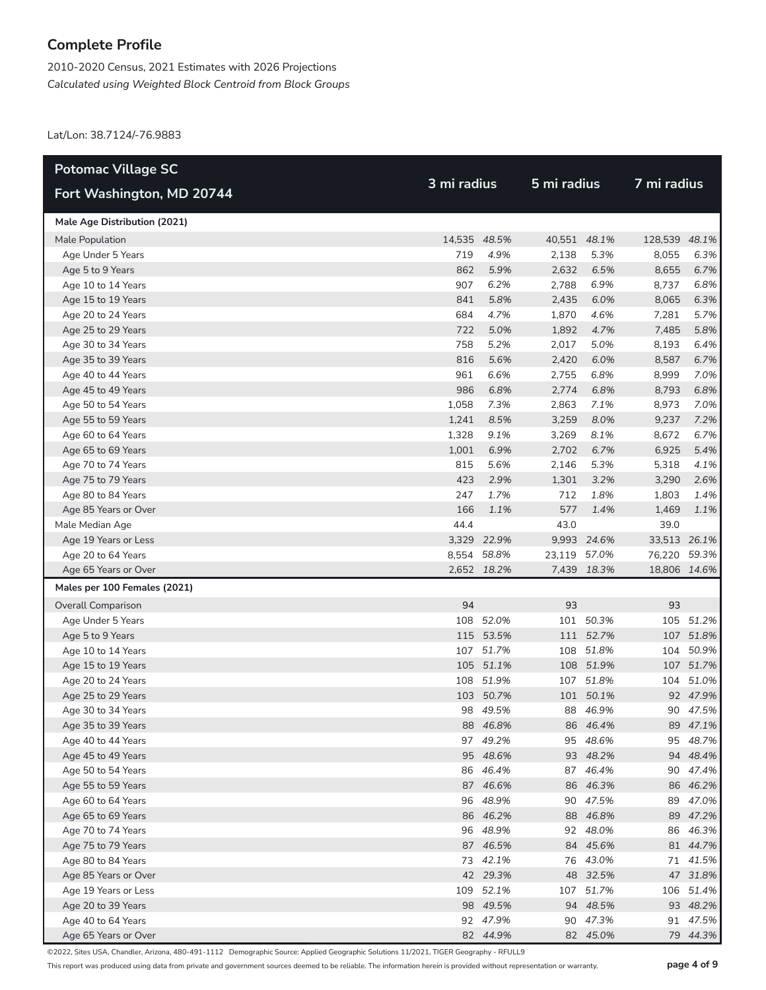2010-2020 Census, 2021 Estimates with 2026 Projections *Calculated using Weighted Block Centroid from Block Groups*

Lat/Lon: 38.7124/-76.9883

| <b>Potomac Village SC</b>    |              |             |              |             |               |           |  |  |
|------------------------------|--------------|-------------|--------------|-------------|---------------|-----------|--|--|
| Fort Washington, MD 20744    | 3 mi radius  |             | 5 mi radius  |             | 7 mi radius   |           |  |  |
| Male Age Distribution (2021) |              |             |              |             |               |           |  |  |
| Male Population              | 14,535 48.5% |             | 40,551 48.1% |             | 128,539 48.1% |           |  |  |
| Age Under 5 Years            | 719          | 4.9%        | 2,138        | 5.3%        | 8,055         | 6.3%      |  |  |
| Age 5 to 9 Years             | 862          | 5.9%        | 2,632        | 6.5%        | 8,655         | 6.7%      |  |  |
| Age 10 to 14 Years           | 907          | 6.2%        | 2,788        | 6.9%        | 8,737         | 6.8%      |  |  |
| Age 15 to 19 Years           | 841          | 5.8%        | 2,435        | 6.0%        | 8,065         | 6.3%      |  |  |
| Age 20 to 24 Years           | 684          | 4.7%        | 1,870        | 4.6%        | 7,281         | 5.7%      |  |  |
| Age 25 to 29 Years           | 722          | 5.0%        | 1,892        | 4.7%        | 7,485         | 5.8%      |  |  |
| Age 30 to 34 Years           | 758          | 5.2%        | 2,017        | 5.0%        | 8,193         | 6.4%      |  |  |
| Age 35 to 39 Years           | 816          | 5.6%        | 2,420        | 6.0%        | 8,587         | 6.7%      |  |  |
| Age 40 to 44 Years           | 961          | 6.6%        | 2,755        | 6.8%        | 8,999         | 7.0%      |  |  |
| Age 45 to 49 Years           | 986          | 6.8%        | 2,774        | 6.8%        | 8,793         | 6.8%      |  |  |
| Age 50 to 54 Years           | 1,058        | 7.3%        | 2,863        | 7.1%        | 8,973         | 7.0%      |  |  |
| Age 55 to 59 Years           | 1,241        | 8.5%        | 3,259        | 8.0%        | 9,237         | 7.2%      |  |  |
| Age 60 to 64 Years           | 1,328        | 9.1%        | 3,269        | 8.1%        | 8,672         | 6.7%      |  |  |
| Age 65 to 69 Years           | 1,001        | 6.9%        | 2,702        | 6.7%        | 6,925         | 5.4%      |  |  |
| Age 70 to 74 Years           | 815          | 5.6%        | 2,146        | 5.3%        | 5,318         | 4.1%      |  |  |
| Age 75 to 79 Years           | 423          | 2.9%        | 1,301        | 3.2%        | 3,290         | 2.6%      |  |  |
| Age 80 to 84 Years           | 247          | 1.7%        | 712          | 1.8%        | 1,803         | 1.4%      |  |  |
| Age 85 Years or Over         | 166          | 1.1%        | 577          | 1.4%        | 1,469         | 1.1%      |  |  |
| Male Median Age              | 44.4         |             | 43.0         |             | 39.0          |           |  |  |
| Age 19 Years or Less         |              | 3,329 22.9% |              | 9,993 24.6% | 33,513 26.1%  |           |  |  |
| Age 20 to 64 Years           |              | 8,554 58.8% | 23,119 57.0% |             | 76,220 59.3%  |           |  |  |
| Age 65 Years or Over         |              | 2,652 18.2% |              | 7,439 18.3% | 18,806 14.6%  |           |  |  |
| Males per 100 Females (2021) |              |             |              |             |               |           |  |  |
| Overall Comparison           | 94           |             | 93           |             | 93            |           |  |  |
| Age Under 5 Years            |              | 108 52.0%   |              | 101 50.3%   |               | 105 51.2% |  |  |
| Age 5 to 9 Years             |              | 115 53.5%   |              | 111 52.7%   |               | 107 51.8% |  |  |
| Age 10 to 14 Years           |              | 107 51.7%   | 108          | 51.8%       |               | 104 50.9% |  |  |
| Age 15 to 19 Years           |              | 105 51.1%   |              | 108 51.9%   |               | 107 51.7% |  |  |
| Age 20 to 24 Years           |              | 108 51.9%   |              | 107 51.8%   |               | 104 51.0% |  |  |
| Age 25 to 29 Years           |              | 103 50.7%   |              | 101 50.1%   |               | 92 47.9%  |  |  |
| Age 30 to 34 Years           |              | 98 49.5%    |              | 88 46.9%    |               | 90 47.5%  |  |  |
| Age 35 to 39 Years           |              | 88 46.8%    |              | 86 46.4%    |               | 89 47.1%  |  |  |
| Age 40 to 44 Years           |              | 97 49.2%    |              | 95 48.6%    |               | 95 48.7%  |  |  |
| Age 45 to 49 Years           |              | 95 48.6%    |              | 93 48.2%    |               | 94 48.4%  |  |  |
| Age 50 to 54 Years           |              | 86 46.4%    |              | 87 46.4%    |               | 90 47.4%  |  |  |
| Age 55 to 59 Years           |              | 87 46.6%    |              | 86 46.3%    |               | 86 46.2%  |  |  |
| Age 60 to 64 Years           |              | 96 48.9%    |              | 90 47.5%    |               | 89 47.0%  |  |  |
| Age 65 to 69 Years           |              | 86 46.2%    |              | 88 46.8%    |               | 89 47.2%  |  |  |
| Age 70 to 74 Years           |              | 96 48.9%    |              | 92 48.0%    |               | 86 46.3%  |  |  |
| Age 75 to 79 Years           |              | 87 46.5%    |              | 84 45.6%    |               | 81 44.7%  |  |  |
| Age 80 to 84 Years           |              | 73 42.1%    |              | 76 43.0%    |               | 71 41.5%  |  |  |
| Age 85 Years or Over         |              | 42 29.3%    |              | 48 32.5%    |               | 47 31.8%  |  |  |
| Age 19 Years or Less         |              | 109 52.1%   |              | 107 51.7%   |               | 106 51.4% |  |  |
| Age 20 to 39 Years           |              | 98 49.5%    |              | 94 48.5%    |               | 93 48.2%  |  |  |
| Age 40 to 64 Years           |              | 92 47.9%    |              | 90 47.3%    |               | 91 47.5%  |  |  |
| Age 65 Years or Over         |              | 82 44.9%    |              | 82 45.0%    |               | 79 44.3%  |  |  |

©2022, Sites USA, Chandler, Arizona, 480-491-1112 Demographic Source: Applied Geographic Solutions 11/2021, TIGER Geography - RFULL9

This report was produced using data from private and government sources deemed to be reliable. The information herein is provided without representation or warranty. **page 4 of 9**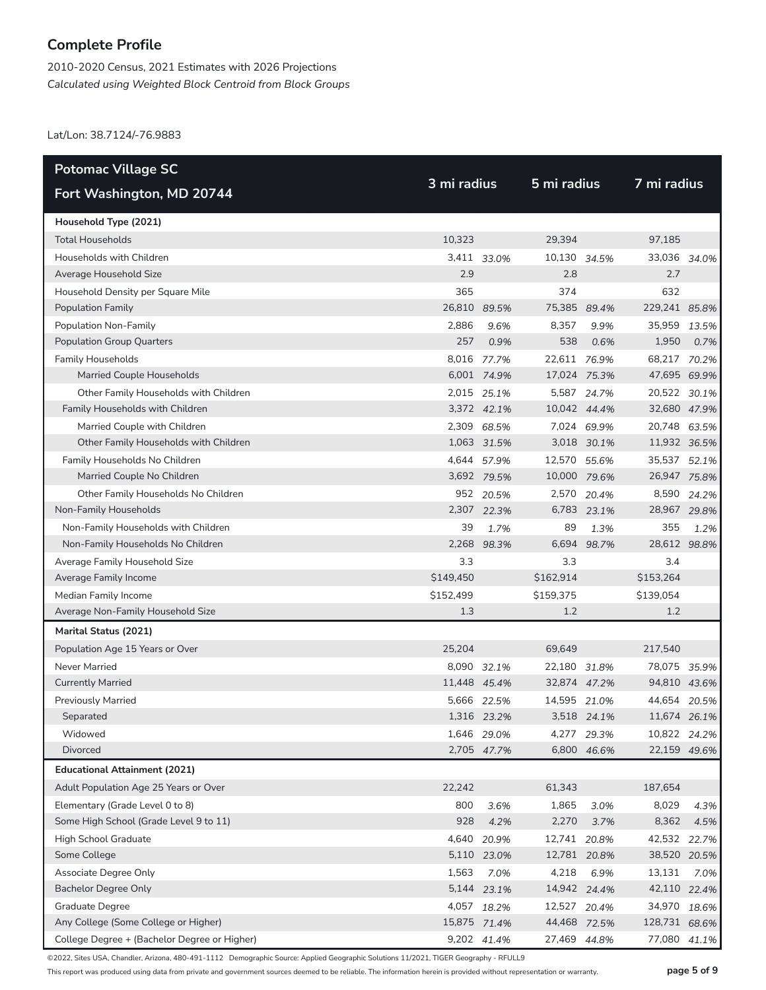2010-2020 Census, 2021 Estimates with 2026 Projections *Calculated using Weighted Block Centroid from Block Groups*

Lat/Lon: 38.7124/-76.9883

| <b>Potomac Village SC</b>                    |           |              |              | 5 mi radius |               |             |
|----------------------------------------------|-----------|--------------|--------------|-------------|---------------|-------------|
| Fort Washington, MD 20744                    |           | 3 mi radius  |              |             | 7 mi radius   |             |
| Household Type (2021)                        |           |              |              |             |               |             |
| <b>Total Households</b>                      | 10,323    |              | 29,394       |             | 97,185        |             |
| Households with Children                     |           | 3,411 33.0%  | 10,130 34.5% |             | 33,036 34.0%  |             |
| Average Household Size                       | 2.9       |              | 2.8          |             | 2.7           |             |
| Household Density per Square Mile            | 365       |              | 374          |             | 632           |             |
| <b>Population Family</b>                     |           | 26,810 89.5% | 75,385 89.4% |             | 229,241 85.8% |             |
| Population Non-Family                        | 2.886     | 9.6%         | 8,357        | 9.9%        | 35,959 13.5%  |             |
| <b>Population Group Quarters</b>             | 257       | 0.9%         | 538          | 0.6%        | 1,950         | 0.7%        |
| <b>Family Households</b>                     |           | 8,016 77.7%  | 22,611 76.9% |             | 68,217 70.2%  |             |
| Married Couple Households                    |           | 6,001 74.9%  | 17,024 75.3% |             | 47,695 69.9%  |             |
| Other Family Households with Children        |           | 2,015 25.1%  |              | 5,587 24.7% | 20,522 30.1%  |             |
| Family Households with Children              |           | 3,372 42.1%  | 10,042 44.4% |             | 32,680 47.9%  |             |
| Married Couple with Children                 |           | 2,309 68.5%  |              | 7,024 69.9% | 20,748 63.5%  |             |
| Other Family Households with Children        |           | 1,063 31.5%  |              | 3,018 30.1% | 11,932 36.5%  |             |
| Family Households No Children                |           | 4,644 57.9%  | 12,570 55.6% |             | 35,537 52.1%  |             |
| Married Couple No Children                   |           | 3,692 79.5%  | 10,000 79.6% |             | 26,947 75.8%  |             |
| Other Family Households No Children          |           | 952 20.5%    |              | 2,570 20.4% |               | 8,590 24.2% |
| Non-Family Households                        |           | 2,307 22.3%  |              | 6,783 23.1% | 28,967 29.8%  |             |
| Non-Family Households with Children          | 39        | 1.7%         | 89           | 1.3%        | 355           | 1.2%        |
| Non-Family Households No Children            | 2,268     | 98.3%        | 6,694        | 98.7%       | 28,612 98.8%  |             |
| Average Family Household Size                | 3.3       |              | 3.3          |             | 3.4           |             |
| Average Family Income                        | \$149,450 |              | \$162,914    |             | \$153,264     |             |
| Median Family Income                         | \$152,499 |              | \$159,375    |             | \$139,054     |             |
| Average Non-Family Household Size            | 1.3       |              | 1.2          |             | 1.2           |             |
| Marital Status (2021)                        |           |              |              |             |               |             |
| Population Age 15 Years or Over              | 25,204    |              | 69,649       |             | 217,540       |             |
| Never Married                                |           | 8,090 32.1%  | 22,180 31.8% |             | 78,075 35.9%  |             |
| <b>Currently Married</b>                     |           | 11,448 45.4% | 32,874 47.2% |             | 94,810 43.6%  |             |
| <b>Previously Married</b>                    |           | 5,666 22.5%  | 14,595 21.0% |             | 44,654 20.5%  |             |
| Separated                                    |           | 1,316 23.2%  |              | 3,518 24.1% | 11,674 26.1%  |             |
| Widowed                                      |           | 1,646 29.0%  |              | 4,277 29.3% | 10,822 24.2%  |             |
| Divorced                                     |           | 2,705 47.7%  |              | 6,800 46.6% | 22,159 49.6%  |             |
| <b>Educational Attainment (2021)</b>         |           |              |              |             |               |             |
| Adult Population Age 25 Years or Over        | 22,242    |              | 61,343       |             | 187,654       |             |
| Elementary (Grade Level 0 to 8)              | 800       | 3.6%         | 1,865        | 3.0%        | 8,029         | 4.3%        |
| Some High School (Grade Level 9 to 11)       | 928       | 4.2%         | 2,270        | 3.7%        | 8,362         | 4.5%        |
| High School Graduate                         |           | 4,640 20.9%  | 12,741 20.8% |             | 42,532        | 22.7%       |
| Some College                                 |           | 5,110 23.0%  | 12,781 20.8% |             | 38,520 20.5%  |             |
| Associate Degree Only                        | 1,563     | 7.0%         | 4,218        | 6.9%        | 13,131        | 7.0%        |
| <b>Bachelor Degree Only</b>                  |           | 5,144 23.1%  | 14,942 24.4% |             | 42,110 22.4%  |             |
| Graduate Degree                              |           | 4,057 18.2%  | 12,527 20.4% |             | 34,970 18.6%  |             |
| Any College (Some College or Higher)         |           | 15,875 71.4% | 44,468 72.5% |             | 128,731 68.6% |             |
| College Degree + (Bachelor Degree or Higher) |           | 9,202 41.4%  | 27,469 44.8% |             | 77,080        | 41.1%       |

©2022, Sites USA, Chandler, Arizona, 480-491-1112 Demographic Source: Applied Geographic Solutions 11/2021, TIGER Geography - RFULL9

This report was produced using data from private and government sources deemed to be reliable. The information herein is provided without representation or warranty. **page 5 of 9**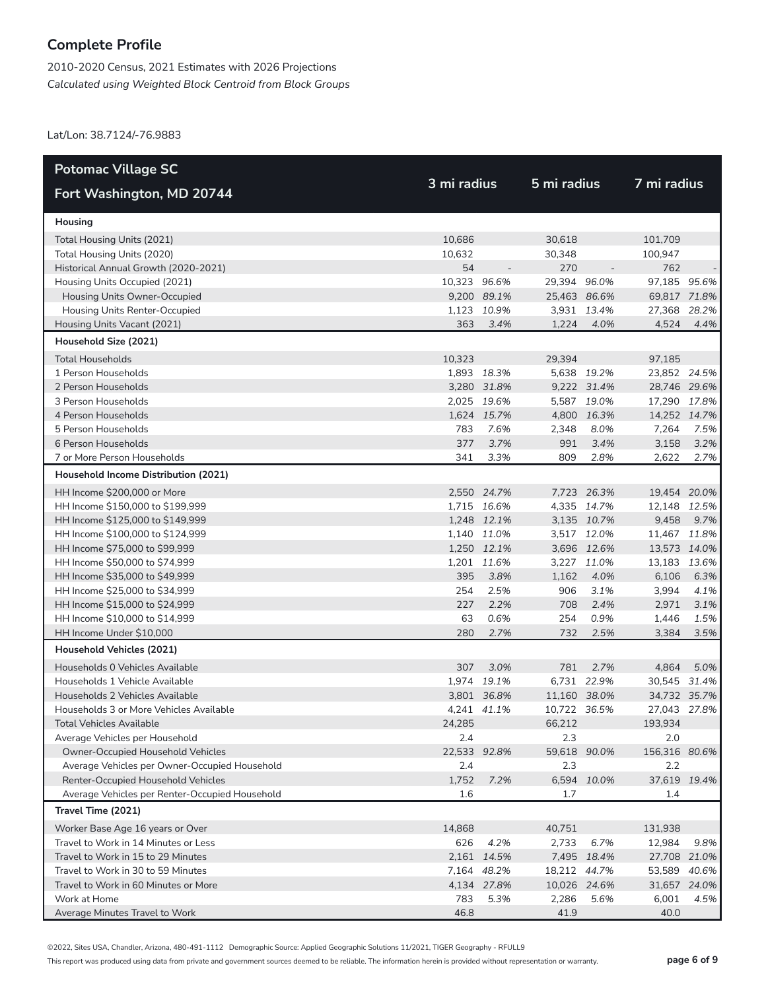2010-2020 Census, 2021 Estimates with 2026 Projections *Calculated using Weighted Block Centroid from Block Groups*

Lat/Lon: 38.7124/-76.9883

| <b>Potomac Village SC</b>                      |              |              |              |             | 7 mi radius   |       |
|------------------------------------------------|--------------|--------------|--------------|-------------|---------------|-------|
| Fort Washington, MD 20744                      |              | 3 mi radius  |              | 5 mi radius |               |       |
| Housing                                        |              |              |              |             |               |       |
| Total Housing Units (2021)                     | 10,686       |              | 30,618       |             | 101,709       |       |
| Total Housing Units (2020)                     | 10,632       |              | 30,348       |             | 100,947       |       |
| Historical Annual Growth (2020-2021)           | 54           |              | 270          |             | 762           |       |
| Housing Units Occupied (2021)                  | 10,323 96.6% |              | 29,394 96.0% |             | 97,185 95.6%  |       |
| Housing Units Owner-Occupied                   |              | 9,200 89.1%  | 25,463 86.6% |             | 69,817 71.8%  |       |
| Housing Units Renter-Occupied                  |              | 1,123 10.9%  |              | 3,931 13.4% | 27,368 28.2%  |       |
| Housing Units Vacant (2021)                    | 363          | 3.4%         | 1,224        | 4.0%        | 4,524         | 4.4%  |
| Household Size (2021)                          |              |              |              |             |               |       |
| <b>Total Households</b>                        | 10,323       |              | 29,394       |             | 97,185        |       |
| 1 Person Households                            |              | 1,893 18.3%  |              | 5,638 19.2% | 23,852 24.5%  |       |
| 2 Person Households                            |              | 3,280 31.8%  |              | 9,222 31.4% | 28,746 29.6%  |       |
| 3 Person Households                            |              | 2,025 19.6%  |              | 5,587 19.0% | 17,290 17.8%  |       |
| 4 Person Households                            |              | 1,624 15.7%  |              | 4,800 16.3% | 14,252 14.7%  |       |
| 5 Person Households                            | 783          | 7.6%         | 2,348        | 8.0%        | 7,264         | 7.5%  |
| 6 Person Households                            | 377          | 3.7%         | 991          | 3.4%        | 3,158         | 3.2%  |
| 7 or More Person Households                    | 341          | 3.3%         | 809          | 2.8%        | 2,622         | 2.7%  |
| Household Income Distribution (2021)           |              |              |              |             |               |       |
| HH Income \$200,000 or More                    |              | 2,550 24.7%  |              | 7,723 26.3% | 19,454 20.0%  |       |
| HH Income \$150,000 to \$199,999               |              | 1,715 16.6%  |              | 4,335 14.7% | 12,148 12.5%  |       |
| HH Income \$125,000 to \$149,999               |              | 1,248 12.1%  |              | 3,135 10.7% | 9,458         | 9.7%  |
| HH Income \$100,000 to \$124,999               |              | 1,140 11.0%  |              | 3,517 12.0% | 11,467 11.8%  |       |
| HH Income \$75,000 to \$99,999                 |              | 1,250 12.1%  |              | 3,696 12.6% | 13,573 14.0%  |       |
| HH Income \$50,000 to \$74,999                 |              | 1,201 11.6%  |              | 3,227 11.0% | 13,183 13.6%  |       |
| HH Income \$35,000 to \$49,999                 | 395          | 3.8%         | 1,162        | 4.0%        | 6,106         | 6.3%  |
| HH Income \$25,000 to \$34,999                 | 254          | 2.5%         | 906          | 3.1%        | 3,994         | 4.1%  |
| HH Income \$15,000 to \$24,999                 | 227          | 2.2%         | 708          | 2.4%        | 2,971         | 3.1%  |
| HH Income \$10,000 to \$14,999                 | 63           | 0.6%         | 254          | 0.9%        | 1,446         | 1.5%  |
| HH Income Under \$10,000                       | 280          | 2.7%         | 732          | 2.5%        | 3,384         | 3.5%  |
| Household Vehicles (2021)                      |              |              |              |             |               |       |
| Households 0 Vehicles Available                | 307          | 3.0%         | 781          | 2.7%        | 4,864         | 5.0%  |
| Households 1 Vehicle Available                 |              | 1,974 19.1%  |              | 6,731 22.9% | 30,545 31.4%  |       |
| Households 2 Vehicles Available                |              | 3,801 36.8%  | 11,160 38.0% |             | 34,732 35.7%  |       |
| Households 3 or More Vehicles Available        |              | 4,241 41.1%  | 10,722 36.5% |             | 27,043 27.8%  |       |
| Total Vehicles Available                       | 24,285       |              | 66,212       |             | 193,934       |       |
| Average Vehicles per Household                 | 2.4          |              | 2.3          |             | 2.0           |       |
| Owner-Occupied Household Vehicles              |              | 22,533 92.8% | 59,618 90.0% |             | 156,316 80.6% |       |
| Average Vehicles per Owner-Occupied Household  | 2.4          |              | 2.3          |             | 2.2           |       |
| Renter-Occupied Household Vehicles             | 1,752        | 7.2%         |              | 6,594 10.0% | 37,619 19.4%  |       |
| Average Vehicles per Renter-Occupied Household | 1.6          |              | 1.7          |             | 1.4           |       |
| Travel Time (2021)                             |              |              |              |             |               |       |
| Worker Base Age 16 years or Over               | 14,868       |              | 40,751       |             | 131,938       |       |
| Travel to Work in 14 Minutes or Less           | 626          | 4.2%         | 2,733        | 6.7%        | 12,984        | 9.8%  |
| Travel to Work in 15 to 29 Minutes             |              | 2,161 14.5%  |              | 7,495 18.4% | 27,708 21.0%  |       |
| Travel to Work in 30 to 59 Minutes             |              | 7,164 48.2%  | 18,212 44.7% |             | 53,589        | 40.6% |
| Travel to Work in 60 Minutes or More           |              | 4,134 27.8%  | 10,026 24.6% |             | 31,657 24.0%  |       |
| Work at Home                                   | 783          | 5.3%         | 2,286        | 5.6%        | 6,001         | 4.5%  |
| Average Minutes Travel to Work                 | 46.8         |              | 41.9         |             | 40.0          |       |

©2022, Sites USA, Chandler, Arizona, 480-491-1112 Demographic Source: Applied Geographic Solutions 11/2021, TIGER Geography - RFULL9

This report was produced using data from private and government sources deemed to be reliable. The information herein is provided without representation or warranty. **page 6 of 9**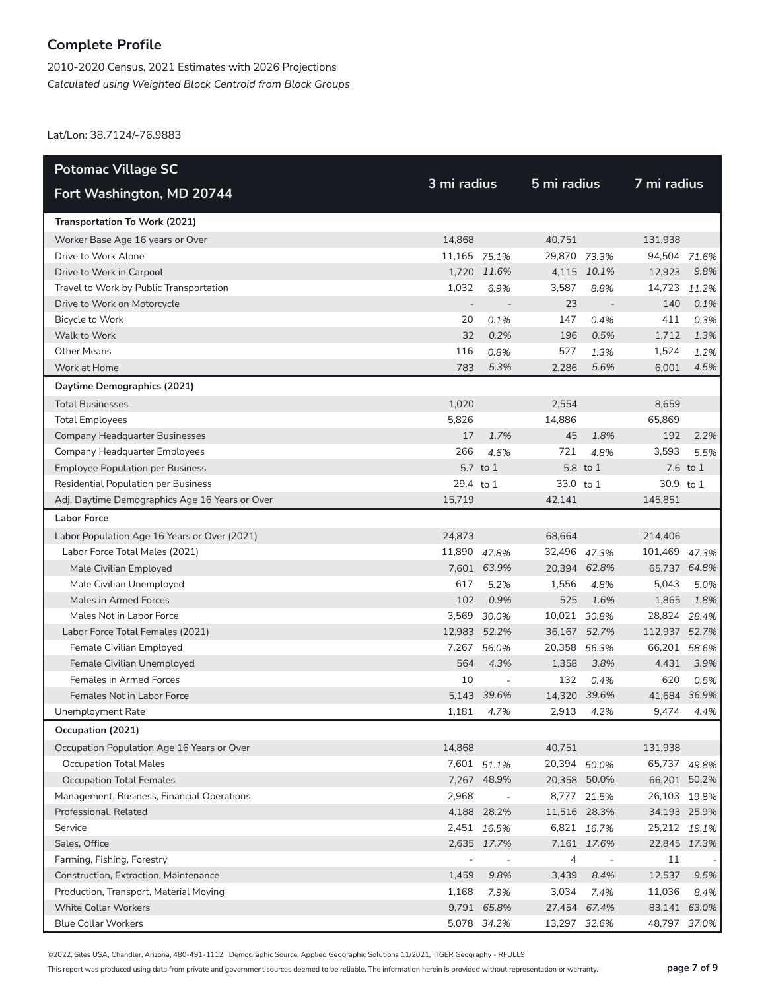2010-2020 Census, 2021 Estimates with 2026 Projections *Calculated using Weighted Block Centroid from Block Groups*

Lat/Lon: 38.7124/-76.9883

| <b>Potomac Village SC</b>                      |              |                          |              |                          |               |          |  |
|------------------------------------------------|--------------|--------------------------|--------------|--------------------------|---------------|----------|--|
| Fort Washington, MD 20744                      | 3 mi radius  |                          | 5 mi radius  |                          | 7 mi radius   |          |  |
| Transportation To Work (2021)                  |              |                          |              |                          |               |          |  |
| Worker Base Age 16 years or Over               | 14,868       |                          | 40,751       |                          | 131,938       |          |  |
| Drive to Work Alone                            | 11,165 75.1% |                          | 29,870 73.3% |                          | 94,504 71.6%  |          |  |
| Drive to Work in Carpool                       |              | 1,720 11.6%              |              | 4,115 10.1%              | 12,923        | 9.8%     |  |
| Travel to Work by Public Transportation        | 1,032        | 6.9%                     | 3,587        | 8.8%                     | 14,723        | 11.2%    |  |
| Drive to Work on Motorcycle                    |              |                          | 23           |                          | 140           | 0.1%     |  |
| Bicycle to Work                                | 20           | 0.1%                     | 147          | 0.4%                     | 411           | 0.3%     |  |
| Walk to Work                                   | 32           | 0.2%                     | 196          | 0.5%                     | 1,712         | 1.3%     |  |
| <b>Other Means</b>                             | 116          | 0.8%                     | 527          | 1.3%                     | 1,524         | 1.2%     |  |
| Work at Home                                   | 783          | 5.3%                     | 2,286        | 5.6%                     | 6,001         | 4.5%     |  |
| Daytime Demographics (2021)                    |              |                          |              |                          |               |          |  |
| <b>Total Businesses</b>                        | 1,020        |                          | 2,554        |                          | 8,659         |          |  |
| <b>Total Employees</b>                         | 5,826        |                          | 14,886       |                          | 65,869        |          |  |
| Company Headquarter Businesses                 | 17           | 1.7%                     | 45           | 1.8%                     | 192           | 2.2%     |  |
| Company Headquarter Employees                  | 266          | 4.6%                     | 721          | 4.8%                     | 3,593         | 5.5%     |  |
| <b>Employee Population per Business</b>        |              | 5.7 to 1                 |              | 5.8 to 1                 |               | 7.6 to 1 |  |
| <b>Residential Population per Business</b>     | 29.4 to 1    |                          | 33.0 to 1    |                          | 30.9 to 1     |          |  |
| Adj. Daytime Demographics Age 16 Years or Over | 15.719       |                          | 42,141       |                          | 145,851       |          |  |
| <b>Labor Force</b>                             |              |                          |              |                          |               |          |  |
| Labor Population Age 16 Years or Over (2021)   | 24,873       |                          | 68,664       |                          | 214,406       |          |  |
| Labor Force Total Males (2021)                 | 11,890 47.8% |                          | 32,496 47.3% |                          | 101,469       | 47.3%    |  |
| Male Civilian Employed                         |              | 7,601 63.9%              | 20,394 62.8% |                          | 65,737 64.8%  |          |  |
| Male Civilian Unemployed                       | 617          | 5.2%                     | 1,556        | 4.8%                     | 5,043         | 5.0%     |  |
| Males in Armed Forces                          | 102          | 0.9%                     | 525          | 1.6%                     | 1,865         | 1.8%     |  |
| Males Not in Labor Force                       |              | 3,569 30.0%              | 10,021 30.8% |                          | 28,824        | 28.4%    |  |
| Labor Force Total Females (2021)               |              | 12,983 52.2%             | 36,167 52.7% |                          | 112,937 52.7% |          |  |
| Female Civilian Employed                       | 7,267        | 56.0%                    | 20,358       | 56.3%                    | 66,201        | 58.6%    |  |
| Female Civilian Unemployed                     | 564          | 4.3%                     | 1,358        | 3.8%                     | 4,431         | 3.9%     |  |
| <b>Females in Armed Forces</b>                 | 10           | $\overline{\phantom{a}}$ | 132          | 0.4%                     | 620           | 0.5%     |  |
| Females Not in Labor Force                     |              | 5,143 39.6%              | 14,320 39.6% |                          | 41,684 36.9%  |          |  |
| Unemployment Rate                              | 1,181        | 4.7%                     | 2,913        | 4.2%                     | 9,474         | 4.4%     |  |
| Occupation (2021)                              |              |                          |              |                          |               |          |  |
| Occupation Population Age 16 Years or Over     | 14,868       |                          | 40,751       |                          | 131,938       |          |  |
| <b>Occupation Total Males</b>                  |              | 7,601 51.1%              | 20,394 50.0% |                          | 65,737 49.8%  |          |  |
| <b>Occupation Total Females</b>                |              | 7,267 48.9%              | 20,358 50.0% |                          | 66,201 50.2%  |          |  |
| Management, Business, Financial Operations     | 2,968        | $\sim$                   |              | 8,777 21.5%              | 26,103 19.8%  |          |  |
| Professional, Related                          |              | 4,188 28.2%              | 11,516 28.3% |                          | 34,193 25.9%  |          |  |
| Service                                        |              | 2,451 16.5%              |              | 6,821 16.7%              | 25,212 19.1%  |          |  |
| Sales, Office                                  |              | 2,635 17.7%              |              | 7,161 17.6%              | 22,845 17.3%  |          |  |
| Farming, Fishing, Forestry                     |              |                          | 4            | $\overline{\phantom{a}}$ | 11            |          |  |
| Construction, Extraction, Maintenance          | 1,459        | 9.8%                     | 3,439        | 8.4%                     | 12,537        | 9.5%     |  |
| Production, Transport, Material Moving         | 1,168        | 7.9%                     | 3,034        | 7.4%                     | 11,036        | 8.4%     |  |
| <b>White Collar Workers</b>                    |              | 9,791 65.8%              | 27,454 67.4% |                          | 83,141 63.0%  |          |  |
| <b>Blue Collar Workers</b>                     |              | 5,078 34.2%              | 13,297 32.6% |                          | 48,797        | 37.0%    |  |

©2022, Sites USA, Chandler, Arizona, 480-491-1112 Demographic Source: Applied Geographic Solutions 11/2021, TIGER Geography - RFULL9

This report was produced using data from private and government sources deemed to be reliable. The information herein is provided without representation or warranty. **page 7 of 9**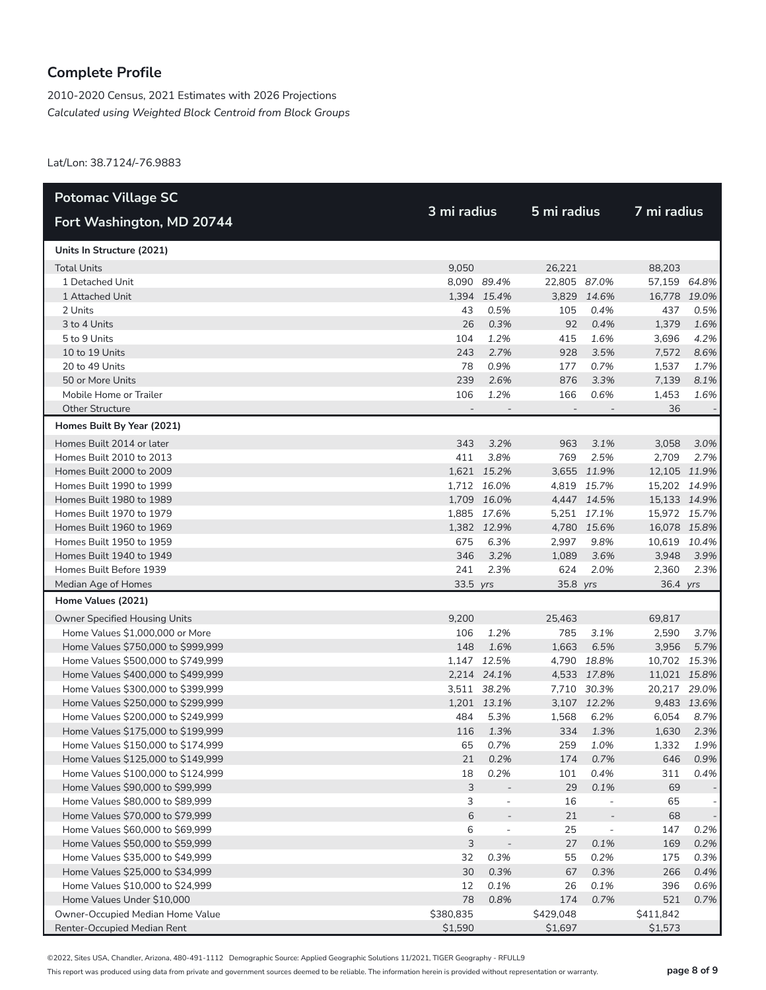2010-2020 Census, 2021 Estimates with 2026 Projections *Calculated using Weighted Block Centroid from Block Groups*

Lat/Lon: 38.7124/-76.9883

| <b>Potomac Village SC</b>          |                          |                          |                          |                          |              |             |
|------------------------------------|--------------------------|--------------------------|--------------------------|--------------------------|--------------|-------------|
| Fort Washington, MD 20744          | 3 mi radius              |                          | 5 mi radius              |                          | 7 mi radius  |             |
| Units In Structure (2021)          |                          |                          |                          |                          |              |             |
| <b>Total Units</b>                 | 9,050                    |                          | 26,221                   |                          | 88,203       |             |
| 1 Detached Unit                    |                          | 8,090 89.4%              | 22,805 87.0%             |                          | 57,159 64.8% |             |
| 1 Attached Unit                    |                          | 1,394 15.4%              |                          | 3,829 14.6%              | 16,778 19.0% |             |
| 2 Units                            | 43                       | 0.5%                     | 105                      | 0.4%                     | 437          | 0.5%        |
| 3 to 4 Units                       | 26                       | 0.3%                     | 92                       | 0.4%                     | 1,379        | 1.6%        |
| 5 to 9 Units                       | 104                      | 1.2%                     | 415                      | 1.6%                     | 3,696        | 4.2%        |
| 10 to 19 Units                     | 243                      | 2.7%                     | 928                      | 3.5%                     | 7,572        | 8.6%        |
| 20 to 49 Units                     | 78                       | 0.9%                     | 177                      | 0.7%                     | 1,537        | 1.7%        |
| 50 or More Units                   | 239                      | 2.6%                     | 876                      | 3.3%                     | 7,139        | 8.1%        |
| Mobile Home or Trailer             | 106                      | 1.2%                     | 166                      | 0.6%                     | 1,453        | 1.6%        |
| <b>Other Structure</b>             | $\overline{\phantom{a}}$ |                          | $\overline{\phantom{a}}$ |                          | 36           |             |
| Homes Built By Year (2021)         |                          |                          |                          |                          |              |             |
| Homes Built 2014 or later          | 343                      | 3.2%                     | 963                      | 3.1%                     | 3,058        | 3.0%        |
| Homes Built 2010 to 2013           | 411                      | 3.8%                     | 769                      | 2.5%                     | 2,709        | 2.7%        |
| Homes Built 2000 to 2009           |                          | 1,621 15.2%              |                          | 3,655 11.9%              | 12,105 11.9% |             |
| Homes Built 1990 to 1999           |                          | 1,712 16.0%              |                          | 4,819 15.7%              | 15,202 14.9% |             |
| Homes Built 1980 to 1989           |                          | 1,709 16.0%              |                          | 4,447 14.5%              | 15,133 14.9% |             |
| Homes Built 1970 to 1979           |                          | 1,885 17.6%              |                          | 5,251 17.1%              | 15,972 15.7% |             |
| Homes Built 1960 to 1969           |                          | 1,382 12.9%              |                          | 4,780 15.6%              | 16,078 15.8% |             |
| Homes Built 1950 to 1959           | 675                      | 6.3%                     | 2,997                    | 9.8%                     | 10,619 10.4% |             |
| Homes Built 1940 to 1949           | 346                      | 3.2%                     | 1,089                    | 3.6%                     | 3,948        | 3.9%        |
| Homes Built Before 1939            | 241                      | 2.3%                     | 624                      | 2.0%                     | 2,360        | 2.3%        |
| Median Age of Homes                | 33.5 yrs                 |                          | 35.8 yrs                 |                          | 36.4 yrs     |             |
| Home Values (2021)                 |                          |                          |                          |                          |              |             |
| Owner Specified Housing Units      | 9,200                    |                          | 25,463                   |                          | 69,817       |             |
| Home Values \$1,000,000 or More    | 106                      | 1.2%                     | 785                      | 3.1%                     | 2,590        | 3.7%        |
| Home Values \$750,000 to \$999,999 | 148                      | 1.6%                     | 1,663                    | 6.5%                     | 3,956        | 5.7%        |
| Home Values \$500,000 to \$749,999 |                          | 1,147 12.5%              | 4,790                    | 18.8%                    | 10,702 15.3% |             |
| Home Values \$400,000 to \$499,999 |                          | 2,214 24.1%              |                          | 4,533 17.8%              | 11,021 15.8% |             |
| Home Values \$300,000 to \$399,999 |                          | 3,511 38.2%              |                          | 7,710 30.3%              | 20,217 29.0% |             |
| Home Values \$250,000 to \$299,999 |                          | 1,201 13.1%              |                          | 3,107 12.2%              |              | 9,483 13.6% |
| Home Values \$200,000 to \$249,999 | 484                      | 5.3%                     | 1,568                    | 6.2%                     | 6,054        | 8.7%        |
| Home Values \$175,000 to \$199,999 | 116                      | 1.3%                     | 334                      | 1.3%                     | 1,630        | 2.3%        |
| Home Values \$150,000 to \$174,999 | 65                       | 0.7%                     | 259                      | 1.0%                     | 1,332        | 1.9%        |
| Home Values \$125,000 to \$149,999 | 21                       | 0.2%                     | 174                      | 0.7%                     | 646          | 0.9%        |
| Home Values \$100,000 to \$124,999 | 18                       | 0.2%                     | 101                      | 0.4%                     | 311          | 0.4%        |
| Home Values \$90,000 to \$99,999   | 3                        |                          | 29                       | 0.1%                     | 69           |             |
| Home Values \$80,000 to \$89,999   | 3                        | $\overline{\phantom{m}}$ | 16                       | $\overline{\phantom{0}}$ | 65           |             |
| Home Values \$70,000 to \$79,999   | $\sqrt{6}$               | $\overline{\phantom{0}}$ | 21                       |                          | 68           |             |
| Home Values \$60,000 to \$69,999   | 6                        | $\overline{\phantom{a}}$ | 25                       | $\overline{\phantom{m}}$ | 147          | 0.2%        |
| Home Values \$50,000 to \$59,999   | 3                        | $\overline{a}$           | 27                       | 0.1%                     | 169          | 0.2%        |
| Home Values \$35,000 to \$49,999   | 32                       | 0.3%                     | 55                       | 0.2%                     | 175          | 0.3%        |
| Home Values \$25,000 to \$34,999   | 30                       | 0.3%                     | 67                       | 0.3%                     | 266          | 0.4%        |
| Home Values \$10,000 to \$24,999   | 12                       | 0.1%                     | 26                       | 0.1%                     | 396          | 0.6%        |
| Home Values Under \$10,000         | 78                       | 0.8%                     | 174                      | 0.7%                     | 521          | 0.7%        |
| Owner-Occupied Median Home Value   | \$380,835                |                          | \$429,048                |                          | \$411,842    |             |
| Renter-Occupied Median Rent        | \$1,590                  |                          | \$1,697                  |                          | \$1,573      |             |

©2022, Sites USA, Chandler, Arizona, 480-491-1112 Demographic Source: Applied Geographic Solutions 11/2021, TIGER Geography - RFULL9

This report was produced using data from private and government sources deemed to be reliable. The information herein is provided without representation or warranty. **page 8 of 9**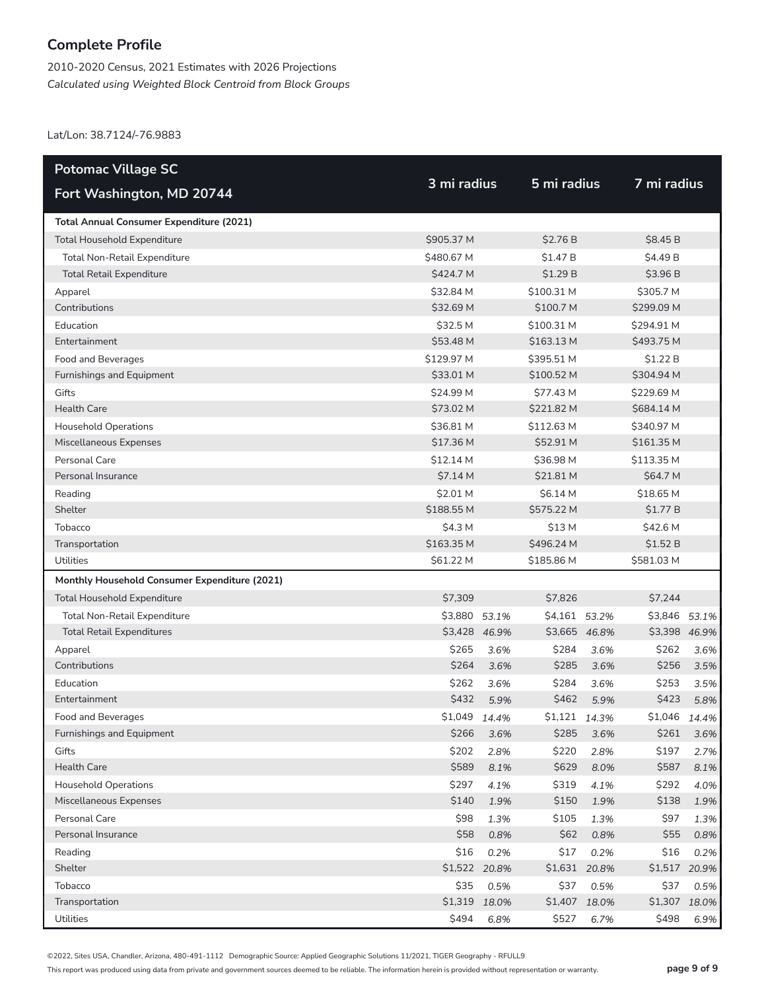2010-2020 Census, 2021 Estimates with 2026 Projections *Calculated using Weighted Block Centroid from Block Groups*

Lat/Lon: 38.7124/-76.9883

| <b>Potomac Village SC</b>                       |               |               |               |       |               |       |
|-------------------------------------------------|---------------|---------------|---------------|-------|---------------|-------|
| Fort Washington, MD 20744                       | 3 mi radius   |               | 5 mi radius   |       | 7 mi radius   |       |
| <b>Total Annual Consumer Expenditure (2021)</b> |               |               |               |       |               |       |
| <b>Total Household Expenditure</b>              | \$905.37 M    |               | \$2.76 B      |       | \$8.45 B      |       |
| <b>Total Non-Retail Expenditure</b>             | \$480.67 M    |               | \$1.47 B      |       | \$4.49 B      |       |
| <b>Total Retail Expenditure</b>                 | \$424.7 M     |               | \$1.29B       |       | \$3.96B       |       |
| Apparel                                         | \$32.84 M     |               | \$100.31 M    |       | \$305.7 M     |       |
| Contributions                                   | \$32.69 M     |               | \$100.7 M     |       | \$299.09 M    |       |
| Education                                       | \$32.5 M      |               | \$100.31 M    |       | \$294.91 M    |       |
| Entertainment                                   | \$53.48 M     |               | \$163.13 M    |       | \$493.75 M    |       |
| Food and Beverages                              | \$129.97 M    |               | \$395.51 M    |       | \$1.22B       |       |
| Furnishings and Equipment                       | \$33.01 M     |               | \$100.52 M    |       | \$304.94 M    |       |
| Gifts                                           | \$24.99 M     |               | \$77.43 M     |       | \$229.69 M    |       |
| <b>Health Care</b>                              | \$73.02 M     |               | \$221.82 M    |       | \$684.14 M    |       |
| <b>Household Operations</b>                     | \$36.81 M     |               | \$112.63 M    |       | \$340.97 M    |       |
| Miscellaneous Expenses                          | \$17.36 M     |               | \$52.91 M     |       | \$161.35 M    |       |
| Personal Care                                   | \$12.14 M     |               | \$36.98 M     |       | \$113.35 M    |       |
| Personal Insurance                              | \$7.14 M      |               | \$21.81 M     |       | \$64.7 M      |       |
| Reading                                         | \$2.01 M      |               | \$6.14 M      |       | \$18.65 M     |       |
| Shelter                                         | \$188.55 M    |               | \$575.22 M    |       | \$1.77 B      |       |
| Tobacco                                         | \$4.3 M       |               | \$13 M        |       | \$42.6 M      |       |
| Transportation                                  | \$163.35 M    |               | \$496.24 M    |       | \$1.52 B      |       |
| Utilities                                       | \$61.22 M     |               | \$185.86 M    |       | \$581.03 M    |       |
| Monthly Household Consumer Expenditure (2021)   |               |               |               |       |               |       |
| <b>Total Household Expenditure</b>              | \$7,309       |               | \$7,826       |       | \$7,244       |       |
| Total Non-Retail Expenditure                    | \$3,880       | 53.1%         | \$4,161 53.2% |       | \$3,846       | 53.1% |
| <b>Total Retail Expenditures</b>                |               | \$3,428 46.9% | \$3,665 46.8% |       | \$3,398 46.9% |       |
| Apparel                                         | \$265         | 3.6%          | \$284         | 3.6%  | \$262         | 3.6%  |
| Contributions                                   | \$264         | 3.6%          | \$285         | 3.6%  | \$256         | 3.5%  |
| Education                                       | \$262         | 3.6%          | \$284         | 3.6%  | \$253         | 3.5%  |
| Entertainment                                   | \$432         | 5.9%          | \$462         | 5.9%  | \$423         | 5.8%  |
| Food and Beverages                              | \$1,049 14.4% |               | \$1,121 14.3% |       | \$1,046       | 14.4% |
| Furnishings and Equipment                       | \$266         | 3.6%          | \$285         | 3.6%  | \$261         | 3.6%  |
| Gifts                                           | \$202         | 2.8%          | \$220         | 2.8%  | \$197         | 2.7%  |
| Health Care                                     | \$589         | 8.1%          | \$629         | 8.0%  | \$587         | 8.1%  |
| <b>Household Operations</b>                     | \$297         | 4.1%          | \$319         | 4.1%  | \$292         | 4.0%  |
| Miscellaneous Expenses                          | \$140         | 1.9%          | \$150         | 1.9%  | \$138         | 1.9%  |
| Personal Care                                   | \$98          | 1.3%          | \$105         | 1.3%  | \$97          | 1.3%  |
| Personal Insurance                              | \$58          | 0.8%          | \$62          | 0.8%  | \$55          | 0.8%  |
| Reading                                         | \$16          | 0.2%          | \$17          | 0.2%  | \$16          | 0.2%  |
| Shelter                                         |               | \$1,522 20.8% | \$1,631 20.8% |       | \$1,517       | 20.9% |
| Tobacco                                         | \$35          | 0.5%          | \$37          | 0.5%  | \$37          | 0.5%  |
| Transportation                                  |               | \$1,319 18.0% | \$1,407       | 18.0% | \$1,307 18.0% |       |
| Utilities                                       | \$494         | 6.8%          | \$527         | 6.7%  | \$498         | 6.9%  |

©2022, Sites USA, Chandler, Arizona, 480-491-1112 Demographic Source: Applied Geographic Solutions 11/2021, TIGER Geography - RFULL9

This report was produced using data from private and government sources deemed to be reliable. The information herein is provided without representation or warranty. **page 9 of 9**